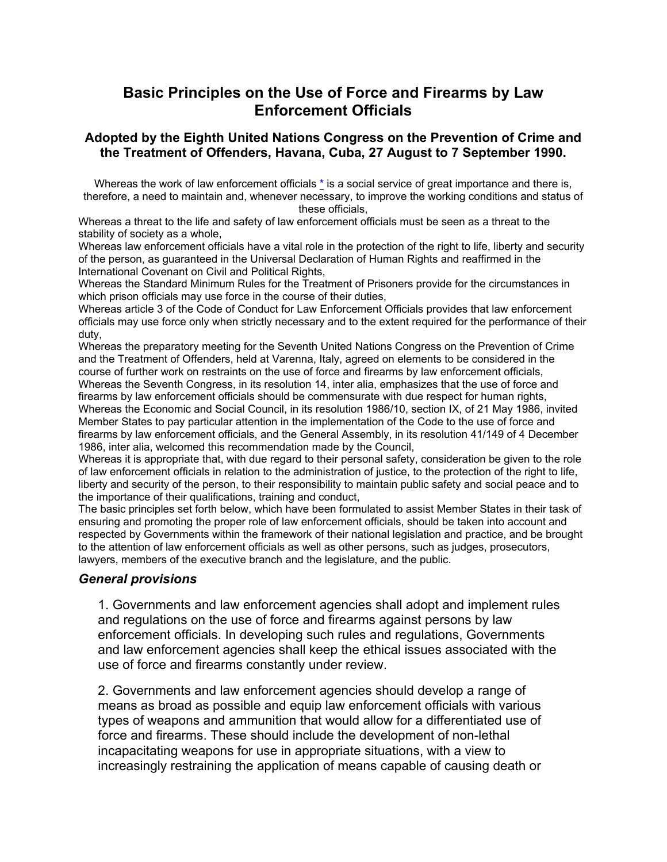# **Basic Principles on the Use of Force and Firearms by Law Enforcement Officials**

## **Adopted by the Eighth United Nations Congress on the Prevention of Crime and the Treatment of Offenders, Havana, Cuba, 27 August to 7 September 1990.**

Whereas the work of law enforcement officials  $*$  is a social service of great importance and there is, therefore, a need to maintain and, whenever necessary, to improve the working conditions and status of these officials,

Whereas a threat to the life and safety of law enforcement officials must be seen as a threat to the stability of society as a whole,

Whereas law enforcement officials have a vital role in the protection of the right to life, liberty and security of the person, as guaranteed in the Universal Declaration of Human Rights and reaffirmed in the International Covenant on Civil and Political Rights,

Whereas the Standard Minimum Rules for the Treatment of Prisoners provide for the circumstances in which prison officials may use force in the course of their duties.

Whereas article 3 of the Code of Conduct for Law Enforcement Officials provides that law enforcement officials may use force only when strictly necessary and to the extent required for the performance of their duty,

Whereas the preparatory meeting for the Seventh United Nations Congress on the Prevention of Crime and the Treatment of Offenders, held at Varenna, Italy, agreed on elements to be considered in the course of further work on restraints on the use of force and firearms by law enforcement officials, Whereas the Seventh Congress, in its resolution 14, inter alia, emphasizes that the use of force and firearms by law enforcement officials should be commensurate with due respect for human rights, Whereas the Economic and Social Council, in its resolution 1986/10, section IX, of 21 May 1986, invited Member States to pay particular attention in the implementation of the Code to the use of force and firearms by law enforcement officials, and the General Assembly, in its resolution 41/149 of 4 December 1986, inter alia, welcomed this recommendation made by the Council,

Whereas it is appropriate that, with due regard to their personal safety, consideration be given to the role of law enforcement officials in relation to the administration of justice, to the protection of the right to life, liberty and security of the person, to their responsibility to maintain public safety and social peace and to the importance of their qualifications, training and conduct,

The basic principles set forth below, which have been formulated to assist Member States in their task of ensuring and promoting the proper role of law enforcement officials, should be taken into account and respected by Governments within the framework of their national legislation and practice, and be brought to the attention of law enforcement officials as well as other persons, such as judges, prosecutors, lawyers, members of the executive branch and the legislature, and the public.

### *General provisions*

1. Governments and law enforcement agencies shall adopt and implement rules and regulations on the use of force and firearms against persons by law enforcement officials. In developing such rules and regulations, Governments and law enforcement agencies shall keep the ethical issues associated with the use of force and firearms constantly under review.

2. Governments and law enforcement agencies should develop a range of means as broad as possible and equip law enforcement officials with various types of weapons and ammunition that would allow for a differentiated use of force and firearms. These should include the development of non-lethal incapacitating weapons for use in appropriate situations, with a view to increasingly restraining the application of means capable of causing death or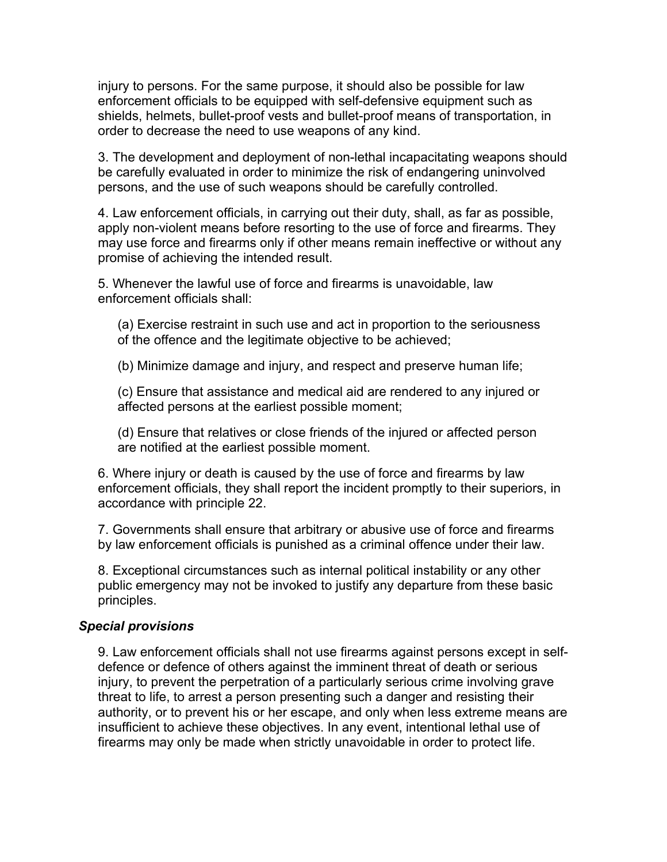injury to persons. For the same purpose, it should also be possible for law enforcement officials to be equipped with self-defensive equipment such as shields, helmets, bullet-proof vests and bullet-proof means of transportation, in order to decrease the need to use weapons of any kind.

3. The development and deployment of non-lethal incapacitating weapons should be carefully evaluated in order to minimize the risk of endangering uninvolved persons, and the use of such weapons should be carefully controlled.

4. Law enforcement officials, in carrying out their duty, shall, as far as possible, apply non-violent means before resorting to the use of force and firearms. They may use force and firearms only if other means remain ineffective or without any promise of achieving the intended result.

5. Whenever the lawful use of force and firearms is unavoidable, law enforcement officials shall:

(a) Exercise restraint in such use and act in proportion to the seriousness of the offence and the legitimate objective to be achieved;

(b) Minimize damage and injury, and respect and preserve human life;

(c) Ensure that assistance and medical aid are rendered to any injured or affected persons at the earliest possible moment;

(d) Ensure that relatives or close friends of the injured or affected person are notified at the earliest possible moment.

6. Where injury or death is caused by the use of force and firearms by law enforcement officials, they shall report the incident promptly to their superiors, in accordance with principle 22.

7. Governments shall ensure that arbitrary or abusive use of force and firearms by law enforcement officials is punished as a criminal offence under their law.

8. Exceptional circumstances such as internal political instability or any other public emergency may not be invoked to justify any departure from these basic principles.

### *Special provisions*

9. Law enforcement officials shall not use firearms against persons except in selfdefence or defence of others against the imminent threat of death or serious injury, to prevent the perpetration of a particularly serious crime involving grave threat to life, to arrest a person presenting such a danger and resisting their authority, or to prevent his or her escape, and only when less extreme means are insufficient to achieve these objectives. In any event, intentional lethal use of firearms may only be made when strictly unavoidable in order to protect life.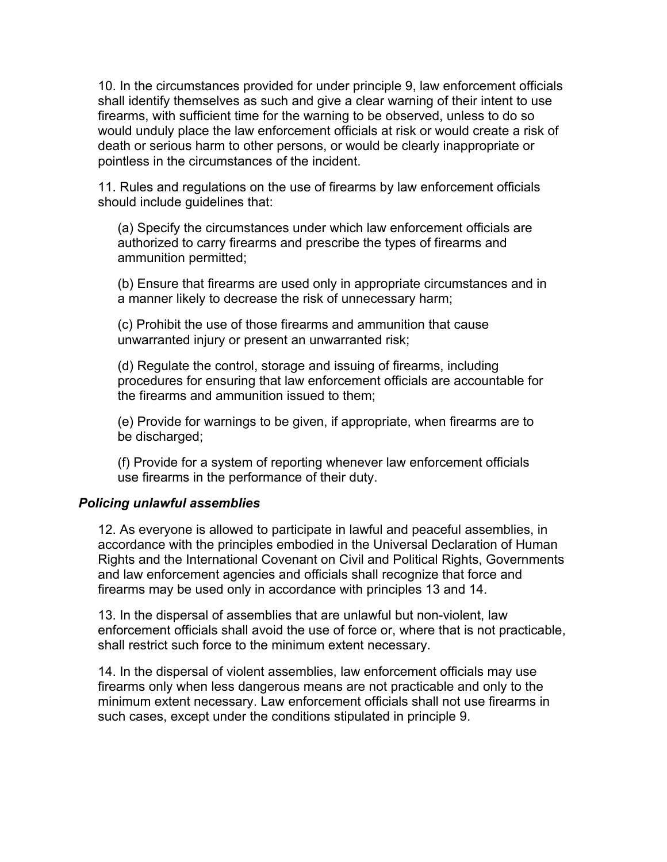10. In the circumstances provided for under principle 9, law enforcement officials shall identify themselves as such and give a clear warning of their intent to use firearms, with sufficient time for the warning to be observed, unless to do so would unduly place the law enforcement officials at risk or would create a risk of death or serious harm to other persons, or would be clearly inappropriate or pointless in the circumstances of the incident.

11. Rules and regulations on the use of firearms by law enforcement officials should include guidelines that:

(a) Specify the circumstances under which law enforcement officials are authorized to carry firearms and prescribe the types of firearms and ammunition permitted;

(b) Ensure that firearms are used only in appropriate circumstances and in a manner likely to decrease the risk of unnecessary harm;

(c) Prohibit the use of those firearms and ammunition that cause unwarranted injury or present an unwarranted risk;

(d) Regulate the control, storage and issuing of firearms, including procedures for ensuring that law enforcement officials are accountable for the firearms and ammunition issued to them;

(e) Provide for warnings to be given, if appropriate, when firearms are to be discharged;

(f) Provide for a system of reporting whenever law enforcement officials use firearms in the performance of their duty.

# *Policing unlawful assemblies*

12. As everyone is allowed to participate in lawful and peaceful assemblies, in accordance with the principles embodied in the Universal Declaration of Human Rights and the International Covenant on Civil and Political Rights, Governments and law enforcement agencies and officials shall recognize that force and firearms may be used only in accordance with principles 13 and 14.

13. In the dispersal of assemblies that are unlawful but non-violent, law enforcement officials shall avoid the use of force or, where that is not practicable, shall restrict such force to the minimum extent necessary.

14. In the dispersal of violent assemblies, law enforcement officials may use firearms only when less dangerous means are not practicable and only to the minimum extent necessary. Law enforcement officials shall not use firearms in such cases, except under the conditions stipulated in principle 9.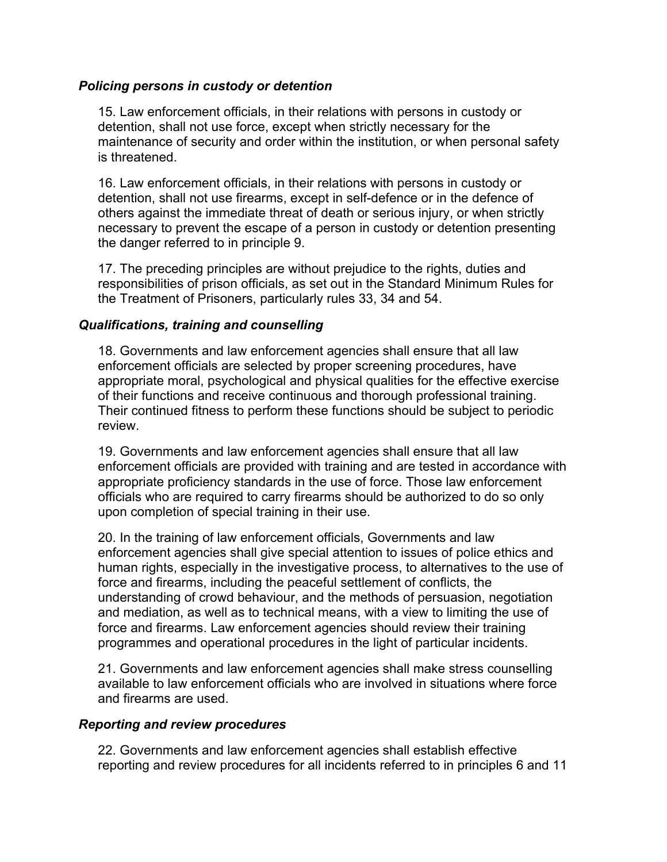## *Policing persons in custody or detention*

15. Law enforcement officials, in their relations with persons in custody or detention, shall not use force, except when strictly necessary for the maintenance of security and order within the institution, or when personal safety is threatened.

16. Law enforcement officials, in their relations with persons in custody or detention, shall not use firearms, except in self-defence or in the defence of others against the immediate threat of death or serious injury, or when strictly necessary to prevent the escape of a person in custody or detention presenting the danger referred to in principle 9.

17. The preceding principles are without prejudice to the rights, duties and responsibilities of prison officials, as set out in the Standard Minimum Rules for the Treatment of Prisoners, particularly rules 33, 34 and 54.

## *Qualifications, training and counselling*

18. Governments and law enforcement agencies shall ensure that all law enforcement officials are selected by proper screening procedures, have appropriate moral, psychological and physical qualities for the effective exercise of their functions and receive continuous and thorough professional training. Their continued fitness to perform these functions should be subject to periodic review.

19. Governments and law enforcement agencies shall ensure that all law enforcement officials are provided with training and are tested in accordance with appropriate proficiency standards in the use of force. Those law enforcement officials who are required to carry firearms should be authorized to do so only upon completion of special training in their use.

20. In the training of law enforcement officials, Governments and law enforcement agencies shall give special attention to issues of police ethics and human rights, especially in the investigative process, to alternatives to the use of force and firearms, including the peaceful settlement of conflicts, the understanding of crowd behaviour, and the methods of persuasion, negotiation and mediation, as well as to technical means, with a view to limiting the use of force and firearms. Law enforcement agencies should review their training programmes and operational procedures in the light of particular incidents.

21. Governments and law enforcement agencies shall make stress counselling available to law enforcement officials who are involved in situations where force and firearms are used.

# *Reporting and review procedures*

22. Governments and law enforcement agencies shall establish effective reporting and review procedures for all incidents referred to in principles 6 and 11